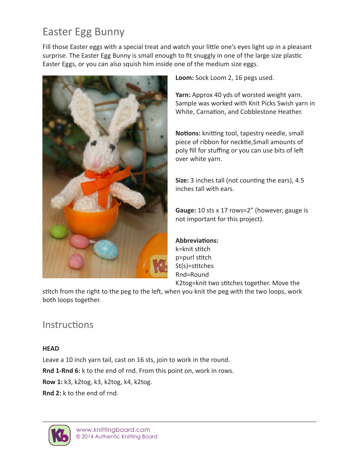# Easter Egg Bunny

Fill those Easter eggs with a special treat and watch your little one's eyes light up in a pleasant surprise. The Easter Egg Bunny is small enough to fit snuggly in one of the large size plastic Easter Eggs, or you can also squish him inside one of the medium size eggs.



**Loom:** Sock Loom 2, 16 pegs used.

**Yarn:** Approx 40 yds of worsted weight yarn. Sample was worked with Knit Picks Swish yarn in White, Carnation, and Cobblestone Heather.

**Notions:** knitting tool, tapestry needle, small piece of ribbon for necktie,Small amounts of poly fill for stuffing or you can use bits of left over white yarn.

**Size:** 3 inches tall (not counting the ears), 4.5 inches tall with ears.

**Gauge:** 10 sts x 17 rows=2" (however, gauge is not important for this project).

# **Abbreviations:**

k=knit stitch p=purl stitch St(s)=stitches Rnd=Round K2tog=knit two stitches together. Move the

stitch from the right to the peg to the left, when you knit the peg with the two loops, work both loops together.

# **Instructions**

#### **HEAD**

Leave a 10 inch yarn tail, cast on 16 sts, join to work in the round. **Rnd 1-Rnd 6:** k to the end of rnd. From this point on, work in rows. **Row 1:** k3, k2tog, k3, k2tog, k4, k2tog. **Rnd 2:** k to the end of rnd.